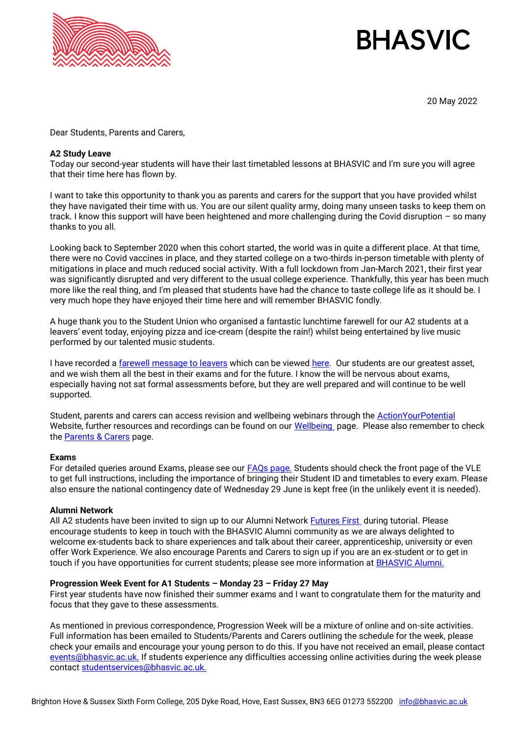

# **BHASVIC**

20 May 2022

Dear Students, Parents and Carers,

## **A2 Study Leave**

Today our second-year students will have their last timetabled lessons at BHASVIC and I'm sure you will agree that their time here has flown by.

I want to take this opportunity to thank you as parents and carers for the support that you have provided whilst they have navigated their time with us. You are our silent quality army, doing many unseen tasks to keep them on track. I know this support will have been heightened and more challenging during the Covid disruption – so many thanks to you all.

Looking back to September 2020 when this cohort started, the world was in quite a different place. At that time, there were no Covid vaccines in place, and they started college on a two-thirds in-person timetable with plenty of mitigations in place and much reduced social activity. With a full lockdown from Jan-March 2021, their first year was significantly disrupted and very different to the usual college experience. Thankfully, this year has been much more like the real thing, and I'm pleased that students have had the chance to taste college life as it should be. I very much hope they have enjoyed their time here and will remember BHASVIC fondly.

A huge thank you to the Student Union who organised a fantastic lunchtime farewell for our A2 students at a leavers' event today, enjoying pizza and ice-cream (despite the rain!) whilst being entertained by live music performed by our talented music students.

I have recorded a [farewell message to leavers](https://vimeo.com/709052522/1952a441f1) which can be viewed [here.](https://vimeo.com/709052522/1952a441f1) Our students are our greatest asset, and we wish them all the best in their exams and for the future. I know the will be nervous about exams, especially having not sat formal assessments before, but they are well prepared and will continue to be well supported.

Student, parents and carers can access revision and wellbeing webinars through the **ActionYourPotential** Website, further resources and recordings can be found on our [Wellbeing](https://www.bhasvic.ac.uk/wellbeing) page. Please also remember to check the **Parents & Carers** page.

#### **Exams**

For detailed queries around Exams, please see our **FAQs page.** Students should check the front page of the VLE to get full instructions, including the importance of bringing their Student ID and timetables to every exam. Please also ensure the national contingency date of Wednesday 29 June is kept free (in the unlikely event it is needed).

#### **Alumni Network**

All A2 students have been invited to sign up to our Alumni Network [Futures First](https://networks.futurefirst.org.uk/former-student/bhasvic) during tutorial. Please encourage students to keep in touch with the BHASVIC Alumni community as we are always delighted to welcome ex-students back to share experiences and talk about their career, apprenticeship, university or even offer Work Experience. We also encourage Parents and Carers to sign up if you are an ex-student or to get in touch if you have opportunities for current students; please see more information at **BHASVIC Alumni.** 

#### **Progression Week Event for A1 Students – Monday 23 – Friday 27 May**

First year students have now finished their summer exams and I want to congratulate them for the maturity and focus that they gave to these assessments.

As mentioned in previous correspondence, Progression Week will be a mixture of online and on-site activities. Full information has been emailed to Students/Parents and Carers outlining the schedule for the week, please check your emails and encourage your young person to do this. If you have not received an email, please contact [events@bhasvic.ac.uk.](mailto:events@bhasvic.ac.uk) If students experience any difficulties accessing online activities during the week please contac[t studentservices@bhasvic.ac.uk.](mailto:studentservices@bhasvic.ac.uk)